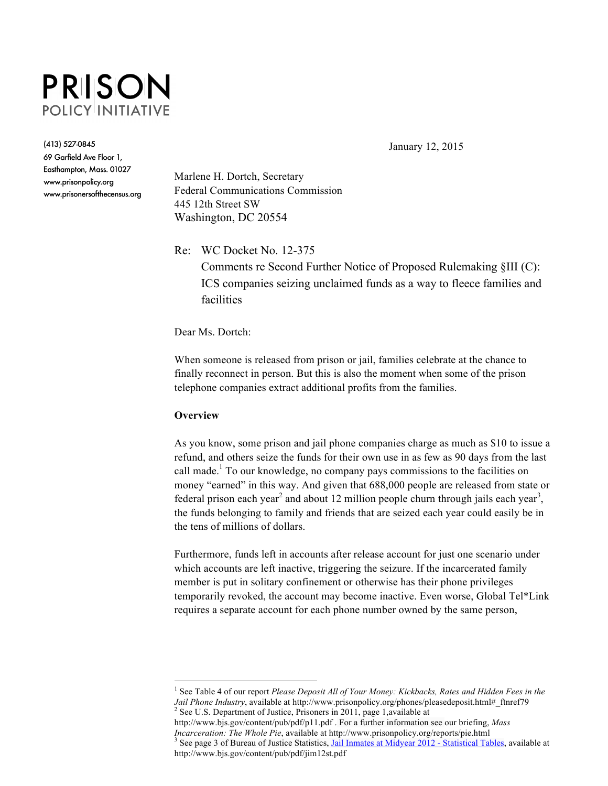

(413) 527-0845

69 Garfield Ave Floor 1, Easthampton, Mass. 01027 www.prisonpolicy.org www.prisonersofthecensus.org January 12, 2015

Marlene H. Dortch, Secretary Federal Communications Commission 445 12th Street SW Washington, DC 20554

Re: WC Docket No. 12-375

Comments re Second Further Notice of Proposed Rulemaking §III (C): ICS companies seizing unclaimed funds as a way to fleece families and facilities

Dear Ms. Dortch:

When someone is released from prison or jail, families celebrate at the chance to finally reconnect in person. But this is also the moment when some of the prison telephone companies extract additional profits from the families.

## **Overview**

As you know, some prison and jail phone companies charge as much as \$10 to issue a refund, and others seize the funds for their own use in as few as 90 days from the last call made.<sup>1</sup> To our knowledge, no company pays commissions to the facilities on money "earned" in this way. And given that 688,000 people are released from state or federal prison each year<sup>2</sup> and about 12 million people churn through jails each year<sup>3</sup>, the funds belonging to family and friends that are seized each year could easily be in the tens of millions of dollars.

Furthermore, funds left in accounts after release account for just one scenario under which accounts are left inactive, triggering the seizure. If the incarcerated family member is put in solitary confinement or otherwise has their phone privileges temporarily revoked, the account may become inactive. Even worse, Global Tel\*Link requires a separate account for each phone number owned by the same person,

 <sup>1</sup> See Table 4 of our report *Please Deposit All of Your Money: Kickbacks, Rates and Hidden Fees in the Jail Phone Industry*, available at http://www.prisonpolicy.org/phones/pleasedeposit.html# ftnref79  $2$  See U.S. Department of Justice, Prisoners in 2011, page 1,available at

http://www.bjs.gov/content/pub/pdf/p11.pdf . For a further information see our briefing, *Mass*  <sup>3</sup> See page 3 of Bureau of Justice Statistics, Jail Inmates at Midyear 2012 - Statistical Tables, available at http://www.bjs.gov/content/pub/pdf/jim12st.pdf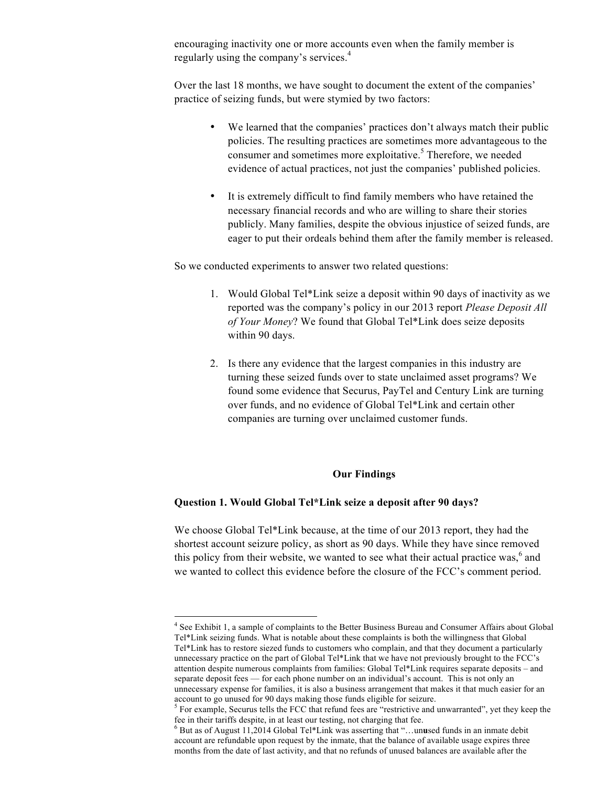encouraging inactivity one or more accounts even when the family member is regularly using the company's services.<sup>4</sup>

Over the last 18 months, we have sought to document the extent of the companies' practice of seizing funds, but were stymied by two factors:

- We learned that the companies' practices don't always match their public policies. The resulting practices are sometimes more advantageous to the consumer and sometimes more exploitative.<sup>5</sup> Therefore, we needed evidence of actual practices, not just the companies' published policies.
- It is extremely difficult to find family members who have retained the necessary financial records and who are willing to share their stories publicly. Many families, despite the obvious injustice of seized funds, are eager to put their ordeals behind them after the family member is released.

So we conducted experiments to answer two related questions:

- 1. Would Global Tel\*Link seize a deposit within 90 days of inactivity as we reported was the company's policy in our 2013 report *Please Deposit All of Your Money*? We found that Global Tel\*Link does seize deposits within 90 days.
- 2. Is there any evidence that the largest companies in this industry are turning these seized funds over to state unclaimed asset programs? We found some evidence that Securus, PayTel and Century Link are turning over funds, and no evidence of Global Tel\*Link and certain other companies are turning over unclaimed customer funds.

#### **Our Findings**

# **Question 1. Would Global Tel\*Link seize a deposit after 90 days?**

We choose Global Tel\*Link because, at the time of our 2013 report, they had the shortest account seizure policy, as short as 90 days. While they have since removed this policy from their website, we wanted to see what their actual practice was, $6$  and we wanted to collect this evidence before the closure of the FCC's comment period.

 $\frac{1}{4}$ <sup>4</sup> See Exhibit 1, a sample of complaints to the Better Business Bureau and Consumer Affairs about Global Tel\*Link seizing funds. What is notable about these complaints is both the willingness that Global Tel\*Link has to restore siezed funds to customers who complain, and that they document a particularly unnecessary practice on the part of Global Tel\*Link that we have not previously brought to the FCC's attention despite numerous complaints from families: Global Tel\*Link requires separate deposits – and separate deposit fees — for each phone number on an individual's account. This is not only an unnecessary expense for families, it is also a business arrangement that makes it that much easier for an account to go unused for 90 days making those funds eligible for seizure.

<sup>&</sup>lt;sup>5</sup> For example, Securus tells the FCC that refund fees are "restrictive and unwarranted", yet they keep the fee in their tariffs despite, in at least our testing, not charging that fee.

<sup>6</sup> But as of August 11,2014 Global Tel\*Link was asserting that "…un**u**sed funds in an inmate debit account are refundable upon request by the inmate, that the balance of available usage expires three months from the date of last activity, and that no refunds of unused balances are available after the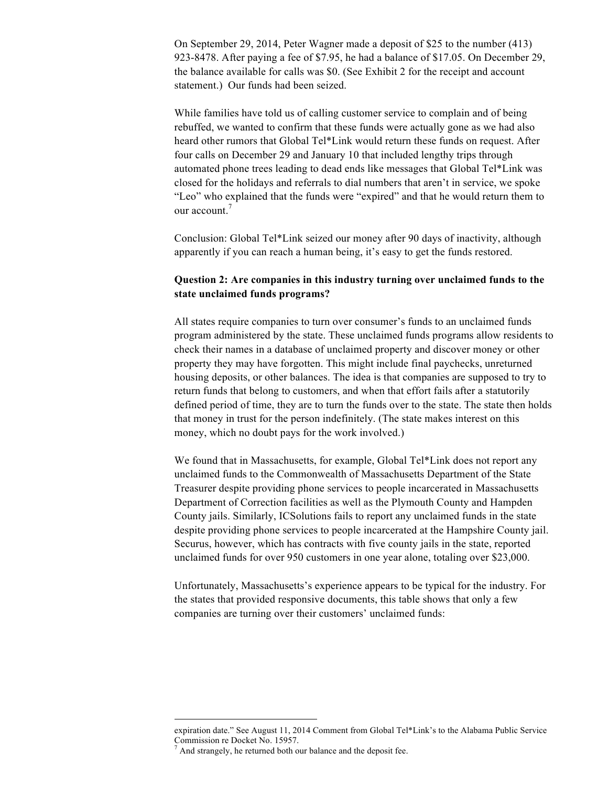On September 29, 2014, Peter Wagner made a deposit of \$25 to the number (413) 923-8478. After paying a fee of \$7.95, he had a balance of \$17.05. On December 29, the balance available for calls was \$0. (See Exhibit 2 for the receipt and account statement.) Our funds had been seized.

While families have told us of calling customer service to complain and of being rebuffed, we wanted to confirm that these funds were actually gone as we had also heard other rumors that Global Tel\*Link would return these funds on request. After four calls on December 29 and January 10 that included lengthy trips through automated phone trees leading to dead ends like messages that Global Tel\*Link was closed for the holidays and referrals to dial numbers that aren't in service, we spoke "Leo" who explained that the funds were "expired" and that he would return them to our account.<sup>7</sup>

Conclusion: Global Tel\*Link seized our money after 90 days of inactivity, although apparently if you can reach a human being, it's easy to get the funds restored.

# **Question 2: Are companies in this industry turning over unclaimed funds to the state unclaimed funds programs?**

All states require companies to turn over consumer's funds to an unclaimed funds program administered by the state. These unclaimed funds programs allow residents to check their names in a database of unclaimed property and discover money or other property they may have forgotten. This might include final paychecks, unreturned housing deposits, or other balances. The idea is that companies are supposed to try to return funds that belong to customers, and when that effort fails after a statutorily defined period of time, they are to turn the funds over to the state. The state then holds that money in trust for the person indefinitely. (The state makes interest on this money, which no doubt pays for the work involved.)

We found that in Massachusetts, for example, Global Tel\*Link does not report any unclaimed funds to the Commonwealth of Massachusetts Department of the State Treasurer despite providing phone services to people incarcerated in Massachusetts Department of Correction facilities as well as the Plymouth County and Hampden County jails. Similarly, ICSolutions fails to report any unclaimed funds in the state despite providing phone services to people incarcerated at the Hampshire County jail. Securus, however, which has contracts with five county jails in the state, reported unclaimed funds for over 950 customers in one year alone, totaling over \$23,000.

Unfortunately, Massachusetts's experience appears to be typical for the industry. For the states that provided responsive documents, this table shows that only a few companies are turning over their customers' unclaimed funds:

expiration date." See August 11, 2014 Comment from Global Tel\*Link's to the Alabama Public Service Commission re Docket No. 15957.

<sup>7</sup> And strangely, he returned both our balance and the deposit fee.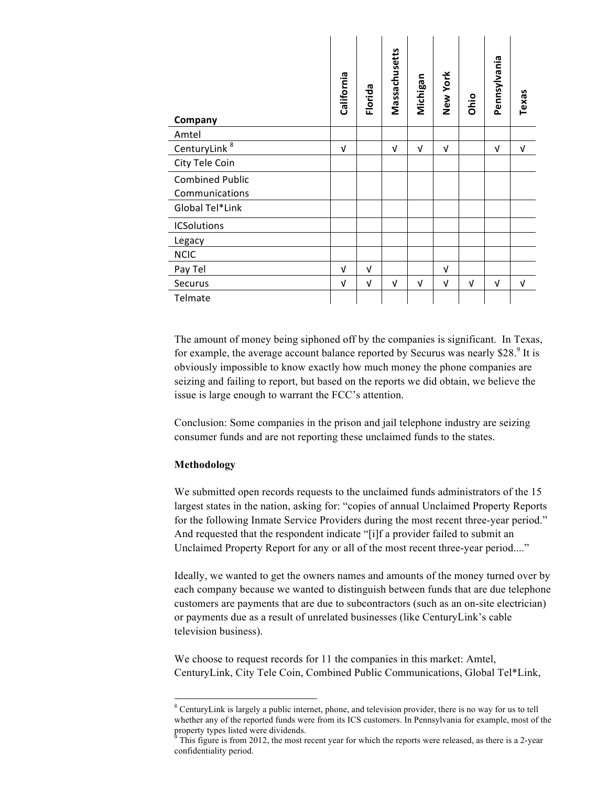| Company                                  | California | Florida    | Massachusetts | Michigan   | New York   | Ohio       | Pennsylvania | Texas      |
|------------------------------------------|------------|------------|---------------|------------|------------|------------|--------------|------------|
| Amtel                                    |            |            |               |            |            |            |              |            |
| CenturyLink <sup>8</sup>                 | $\sqrt{ }$ |            | $\sqrt{ }$    | $\sqrt{ }$ | $\sqrt{ }$ |            | Λ            | $\sqrt{ }$ |
| City Tele Coin                           |            |            |               |            |            |            |              |            |
| <b>Combined Public</b><br>Communications |            |            |               |            |            |            |              |            |
| Global Tel*Link                          |            |            |               |            |            |            |              |            |
| <b>ICSolutions</b>                       |            |            |               |            |            |            |              |            |
| Legacy                                   |            |            |               |            |            |            |              |            |
| <b>NCIC</b>                              |            |            |               |            |            |            |              |            |
| Pay Tel                                  | $\sqrt{ }$ | $\sqrt{ }$ |               |            | V          |            |              |            |
| Securus                                  | $\sqrt{ }$ | $\sqrt{ }$ | $\sqrt{ }$    | $\sqrt{ }$ | $\sqrt{ }$ | $\sqrt{ }$ | $\sqrt{ }$   | V          |
| Telmate                                  |            |            |               |            |            |            |              |            |

The amount of money being siphoned off by the companies is significant. In Texas, for example, the average account balance reported by Securus was nearly  $$28$ <sup>9</sup> It is obviously impossible to know exactly how much money the phone companies are seizing and failing to report, but based on the reports we did obtain, we believe the issue is large enough to warrant the FCC's attention.

Conclusion: Some companies in the prison and jail telephone industry are seizing consumer funds and are not reporting these unclaimed funds to the states.

## **Methodology**

We submitted open records requests to the unclaimed funds administrators of the 15 largest states in the nation, asking for: "copies of annual Unclaimed Property Reports for the following Inmate Service Providers during the most recent three-year period." And requested that the respondent indicate "[i]f a provider failed to submit an Unclaimed Property Report for any or all of the most recent three-year period...."

Ideally, we wanted to get the owners names and amounts of the money turned over by each company because we wanted to distinguish between funds that are due telephone customers are payments that are due to subcontractors (such as an on-site electrician) or payments due as a result of unrelated businesses (like CenturyLink's cable television business).

We choose to request records for 11 the companies in this market: Amtel, CenturyLink, City Tele Coin, Combined Public Communications, Global Tel\*Link,

 <sup>8</sup> <sup>8</sup> CenturyLink is largely a public internet, phone, and television provider, there is no way for us to tell whether any of the reported funds were from its ICS customers. In Pennsylvania for example, most of the property types listed were dividends.

This figure is from 2012, the most recent year for which the reports were released, as there is a 2-year confidentiality period.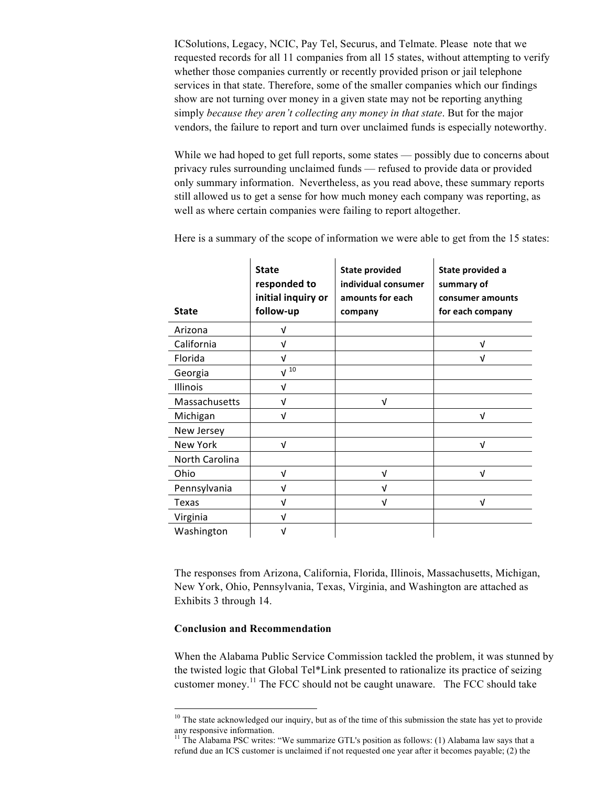ICSolutions, Legacy, NCIC, Pay Tel, Securus, and Telmate. Please note that we requested records for all 11 companies from all 15 states, without attempting to verify whether those companies currently or recently provided prison or jail telephone services in that state. Therefore, some of the smaller companies which our findings show are not turning over money in a given state may not be reporting anything simply *because they aren't collecting any money in that state*. But for the major vendors, the failure to report and turn over unclaimed funds is especially noteworthy.

While we had hoped to get full reports, some states — possibly due to concerns about privacy rules surrounding unclaimed funds — refused to provide data or provided only summary information. Nevertheless, as you read above, these summary reports still allowed us to get a sense for how much money each company was reporting, as well as where certain companies were failing to report altogether.

| <b>State</b>    | <b>State</b><br>responded to<br>initial inquiry or<br>follow-up | <b>State provided</b><br>individual consumer<br>amounts for each<br>company | State provided a<br>summary of<br>consumer amounts<br>for each company |
|-----------------|-----------------------------------------------------------------|-----------------------------------------------------------------------------|------------------------------------------------------------------------|
|                 |                                                                 |                                                                             |                                                                        |
| Arizona         | V                                                               |                                                                             |                                                                        |
| California      | $\sqrt{ }$                                                      |                                                                             | v                                                                      |
| Florida         | $\sqrt{ }$                                                      |                                                                             | v                                                                      |
| Georgia         | $\sqrt{10}$                                                     |                                                                             |                                                                        |
| <b>Illinois</b> | $\sqrt{ }$                                                      |                                                                             |                                                                        |
| Massachusetts   | $\sqrt{ }$                                                      | $\sqrt{ }$                                                                  |                                                                        |
| Michigan        | $\sqrt{ }$                                                      |                                                                             | ν                                                                      |
| New Jersey      |                                                                 |                                                                             |                                                                        |
| New York        | $\sqrt{ }$                                                      |                                                                             | ν                                                                      |
| North Carolina  |                                                                 |                                                                             |                                                                        |
| Ohio            | $\sqrt{ }$                                                      | ν                                                                           | ν                                                                      |
| Pennsylvania    | $\sqrt{ }$                                                      | ν                                                                           |                                                                        |
| Texas           | $\sqrt{ }$                                                      | ν                                                                           | ν                                                                      |
| Virginia        | $\sqrt{ }$                                                      |                                                                             |                                                                        |
| Washington      | V                                                               |                                                                             |                                                                        |

Here is a summary of the scope of information we were able to get from the 15 states:

The responses from Arizona, California, Florida, Illinois, Massachusetts, Michigan, New York, Ohio, Pennsylvania, Texas, Virginia, and Washington are attached as Exhibits 3 through 14.

#### **Conclusion and Recommendation**

When the Alabama Public Service Commission tackled the problem, it was stunned by the twisted logic that Global Tel\*Link presented to rationalize its practice of seizing customer money.<sup>11</sup> The FCC should not be caught unaware. The FCC should take

<sup>&</sup>lt;sup>10</sup> The state acknowledged our inquiry, but as of the time of this submission the state has yet to provide any responsive information.

<sup>&</sup>lt;sup>11</sup> The Alabama PSC writes: "We summarize GTL's position as follows: (1) Alabama law says that a refund due an ICS customer is unclaimed if not requested one year after it becomes payable; (2) the